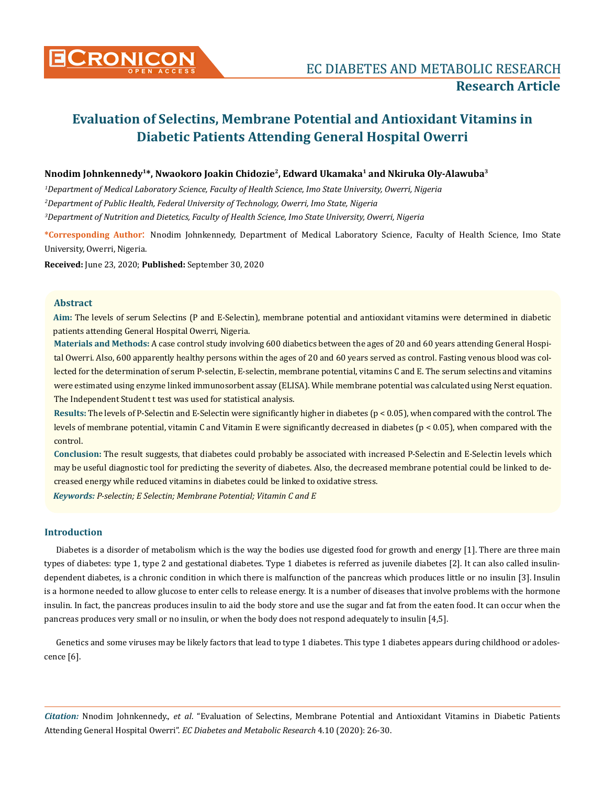

# **Evaluation of Selectins, Membrane Potential and Antioxidant Vitamins in Diabetic Patients Attending General Hospital Owerri**

# **Nnodim Johnkennedy1\*, Nwaokoro Joakin Chidozie2, Edward Ukamaka1 and Nkiruka Oly-Alawuba3**

*1 Department of Medical Laboratory Science, Faculty of Health Science, Imo State University, Owerri, Nigeria 2 Department of Public Health, Federal University of Technology, Owerri, Imo State, Nigeria 3 Department of Nutrition and Dietetics, Faculty of Health Science, Imo State University, Owerri, Nigeria*

**\*Corresponding Author**: Nnodim Johnkennedy, Department of Medical Laboratory Science, Faculty of Health Science, Imo State University, Owerri, Nigeria.

**Received:** June 23, 2020; **Published:** September 30, 2020

# **Abstract**

**Aim:** The levels of serum Selectins (P and E-Selectin), membrane potential and antioxidant vitamins were determined in diabetic patients attending General Hospital Owerri, Nigeria.

**Materials and Methods:** A case control study involving 600 diabetics between the ages of 20 and 60 years attending General Hospital Owerri. Also, 600 apparently healthy persons within the ages of 20 and 60 years served as control. Fasting venous blood was collected for the determination of serum P-selectin, E-selectin, membrane potential, vitamins C and E. The serum selectins and vitamins were estimated using enzyme linked immunosorbent assay (ELISA). While membrane potential was calculated using Nerst equation. The Independent Student t test was used for statistical analysis.

**Results:** The levels of P-Selectin and E-Selectin were significantly higher in diabetes (p < 0.05), when compared with the control. The levels of membrane potential, vitamin C and Vitamin E were significantly decreased in diabetes (p < 0.05), when compared with the control.

**Conclusion:** The result suggests, that diabetes could probably be associated with increased P-Selectin and E-Selectin levels which may be useful diagnostic tool for predicting the severity of diabetes. Also, the decreased membrane potential could be linked to decreased energy while reduced vitamins in diabetes could be linked to oxidative stress.

*Keywords: P-selectin; E Selectin; Membrane Potential; Vitamin C and E*

# **Introduction**

Diabetes is a disorder of metabolism which is the way the bodies use digested food for growth and energy [1]. There are three main types of diabetes: type 1, type 2 and gestational diabetes. Type 1 diabetes is referred as juvenile diabetes [2]. It can also called insulindependent diabetes, is a chronic condition in which there is malfunction of the pancreas which produces little or no insulin [3]. Insulin is a hormone needed to allow glucose to enter cells to release energy. It is a number of diseases that involve problems with the hormone insulin. In fact, the pancreas produces insulin to aid the body store and use the sugar and fat from the eaten food. It can occur when the pancreas produces very small or no insulin, or when the body does not respond adequately to insulin [4,5].

Genetics and some viruses may be likely factors that lead to type 1 diabetes. This type 1 diabetes appears during childhood or adolescence [6].

*Citation:* Nnodim Johnkennedy., *et al*. "Evaluation of Selectins, Membrane Potential and Antioxidant Vitamins in Diabetic Patients Attending General Hospital Owerri". *EC Diabetes and Metabolic Research* 4.10 (2020): 26-30.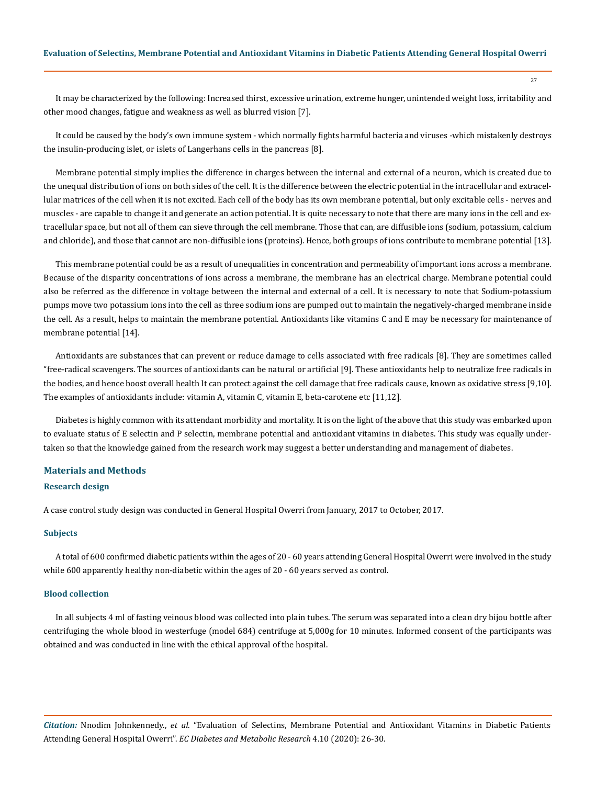It may be characterized by the following: Increased thirst, excessive urination, extreme hunger, unintended weight loss, irritability and other mood changes, fatigue and weakness as well as blurred vision [7].

It could be caused by the body's own immune system - which normally fights harmful bacteria and viruses -which mistakenly destroys the insulin-producing islet, or islets of Langerhans cells in the pancreas [8].

Membrane potential simply implies the difference in charges between the internal and external of a neuron, which is created due to the unequal distribution of ions on both sides of the cell. It is the difference between the electric potential in the intracellular and extracellular matrices of the cell when it is not excited. Each cell of the body has its own membrane potential, but only excitable cells - nerves and muscles - are capable to change it and generate an action potential. It is quite necessary to note that there are many ions in the cell and extracellular space, but not all of them can sieve through the cell membrane. Those that can, are diffusible ions (sodium, potassium, calcium and chloride), and those that cannot are non-diffusible ions (proteins). Hence, both groups of ions contribute to membrane potential [13].

This membrane potential could be as a result of unequalities in concentration and permeability of important ions across a membrane. Because of the disparity concentrations of ions across a membrane, the membrane has an electrical charge. Membrane potential could also be referred as the difference in voltage between the internal and external of a cell. It is necessary to note that Sodium-potassium pumps move two potassium ions into the cell as three sodium ions are pumped out to maintain the negatively-charged membrane inside the cell. As a result, helps to maintain the membrane potential. Antioxidants like vitamins C and E may be necessary for maintenance of membrane potential [14].

Antioxidants are substances that can prevent or reduce damage to cells associated with free radicals [8]. They are sometimes called "free-radical scavengers. The sources of antioxidants can be natural or artificial [9]. These antioxidants help to neutralize free radicals in the bodies, and hence boost overall health It can protect against the cell damage that free radicals cause, known as oxidative stress [9,10]. The examples of antioxidants include: vitamin A, vitamin C, vitamin E, beta-carotene etc [11,12].

Diabetes is highly common with its attendant morbidity and mortality. It is on the light of the above that this study was embarked upon to evaluate status of E selectin and P selectin, membrane potential and antioxidant vitamins in diabetes. This study was equally undertaken so that the knowledge gained from the research work may suggest a better understanding and management of diabetes.

#### **Materials and Methods**

## **Research design**

A case control study design was conducted in General Hospital Owerri from January, 2017 to October, 2017.

## **Subjects**

A total of 600 confirmed diabetic patients within the ages of 20 - 60 years attending General Hospital Owerri were involved in the study while 600 apparently healthy non-diabetic within the ages of 20 - 60 years served as control.

## **Blood collection**

In all subjects 4 ml of fasting veinous blood was collected into plain tubes. The serum was separated into a clean dry bijou bottle after centrifuging the whole blood in westerfuge (model 684) centrifuge at 5,000g for 10 minutes. Informed consent of the participants was obtained and was conducted in line with the ethical approval of the hospital.

*Citation:* Nnodim Johnkennedy., *et al*. "Evaluation of Selectins, Membrane Potential and Antioxidant Vitamins in Diabetic Patients Attending General Hospital Owerri". *EC Diabetes and Metabolic Research* 4.10 (2020): 26-30.

27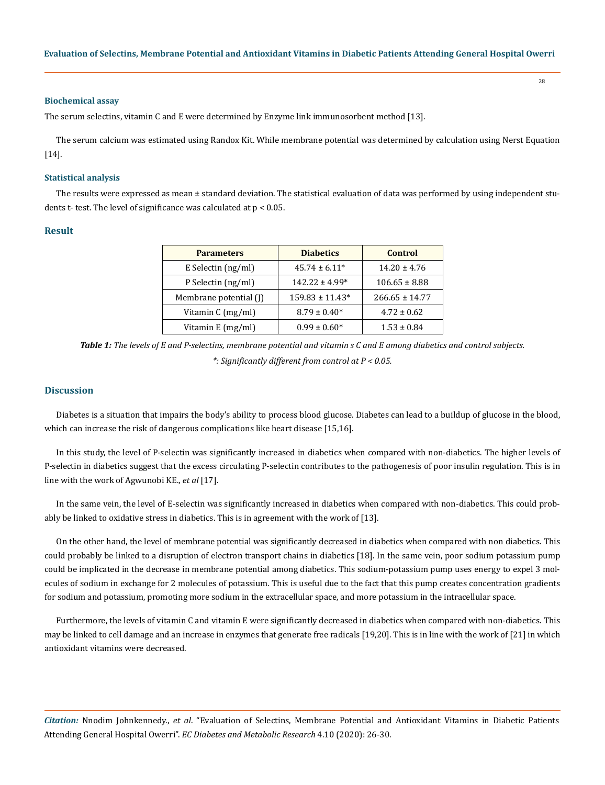#### **Biochemical assay**

The serum selectins, vitamin C and E were determined by Enzyme link immunosorbent method [13].

The serum calcium was estimated using Randox Kit. While membrane potential was determined by calculation using Nerst Equation [14].

#### **Statistical analysis**

The results were expressed as mean ± standard deviation. The statistical evaluation of data was performed by using independent students t- test. The level of significance was calculated at p < 0.05.

## **Result**

| <b>Parameters</b>          | <b>Diabetics</b>    | <b>Control</b>     |
|----------------------------|---------------------|--------------------|
| E Selectin $\frac{ng}{ml}$ | $45.74 \pm 6.11*$   | $14.20 \pm 4.76$   |
| P Selectin (ng/ml)         | $142.22 \pm 4.99*$  | $106.65 \pm 8.88$  |
| Membrane potential (J)     | $159.83 \pm 11.43*$ | $266.65 \pm 14.77$ |
| Vitamin C (mg/ml)          | $8.79 \pm 0.40*$    | $4.72 \pm 0.62$    |
| Vitamin E (mg/ml)          | $0.99 \pm 0.60*$    | $1.53 \pm 0.84$    |

*Table 1: The levels of E and P-selectins, membrane potential and vitamin s C and E among diabetics and control subjects. \*: Significantly different from control at P < 0.05.*

## **Discussion**

Diabetes is a situation that impairs the body's ability to process blood glucose. Diabetes can lead to a buildup of glucose in the blood, which can increase the risk of dangerous complications like heart disease [15,16].

In this study, the level of P-selectin was significantly increased in diabetics when compared with non-diabetics. The higher levels of P-selectin in diabetics suggest that the excess circulating P-selectin contributes to the pathogenesis of poor insulin regulation. This is in line with the work of Agwunobi KE., *et al* [17].

In the same vein, the level of E-selectin was significantly increased in diabetics when compared with non-diabetics. This could probably be linked to oxidative stress in diabetics. This is in agreement with the work of [13].

On the other hand, the level of membrane potential was significantly decreased in diabetics when compared with non diabetics. This could probably be linked to a disruption of electron transport chains in diabetics [18]. In the same vein, poor sodium potassium pump could be implicated in the decrease in membrane potential among diabetics. This sodium-potassium pump uses energy to expel 3 molecules of sodium in exchange for 2 molecules of potassium. This is useful due to the fact that this pump creates concentration gradients for sodium and potassium, promoting more sodium in the extracellular space, and more potassium in the intracellular space.

Furthermore, the levels of vitamin C and vitamin E were significantly decreased in diabetics when compared with non-diabetics. This may be linked to cell damage and an increase in enzymes that generate free radicals [19,20]. This is in line with the work of [21] in which antioxidant vitamins were decreased.

*Citation:* Nnodim Johnkennedy., *et al*. "Evaluation of Selectins, Membrane Potential and Antioxidant Vitamins in Diabetic Patients Attending General Hospital Owerri". *EC Diabetes and Metabolic Research* 4.10 (2020): 26-30.

28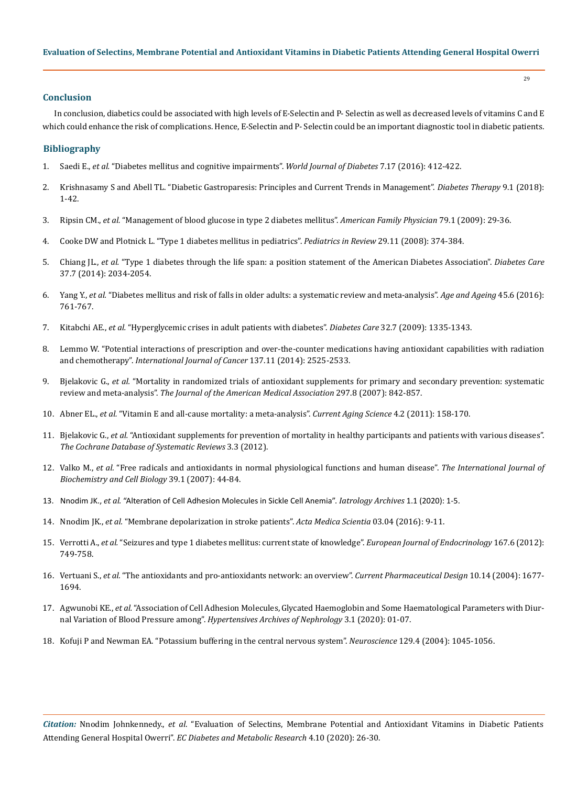# **Conclusion**

In conclusion, diabetics could be associated with high levels of E-Selectin and P- Selectin as well as decreased levels of vitamins C and E which could enhance the risk of complications. Hence, E-Selectin and P- Selectin could be an important diagnostic tool in diabetic patients.

## **Bibliography**

- 1. Saedi E., *et al.* ["Diabetes mellitus and cognitive impairments".](https://www.researchgate.net/publication/308014817_Diabetes_mellitus_and_cognitive_impairments) *World Journal of Diabetes* 7.17 (2016): 412-422.
- 2. [Krishnasamy S and Abell TL. "Diabetic Gastroparesis: Principles and Current Trends in Management".](https://pubmed.ncbi.nlm.nih.gov/29934758/) *Diabetes Therapy* 9.1 (2018): [1-42.](https://pubmed.ncbi.nlm.nih.gov/29934758/)
- 3. Ripsin CM., *et al.* ["Management of blood glucose in type 2 diabetes mellitus".](https://www.aafp.org/afp/2009/0101/p29.html) *American Family Physician* 79.1 (2009): 29-36.
- 4. [Cooke DW and Plotnick L. "Type 1 diabetes mellitus in pediatrics".](https://pubmed.ncbi.nlm.nih.gov/18977856/) *Pediatrics in Review* 29.11 (2008): 374-384.
- 5. Chiang JL., *et al.* ["Type 1 diabetes through the life span: a position statement of the American Diabetes Association".](https://care.diabetesjournals.org/content/37/7/2034) *Diabetes Care* [37.7 \(2014\): 2034-2054.](https://care.diabetesjournals.org/content/37/7/2034)
- 6. Yang Y., *et al.* ["Diabetes mellitus and risk of falls in older adults: a systematic review and meta-analysis".](https://pubmed.ncbi.nlm.nih.gov/27515679/) *Age and Ageing* 45.6 (2016): [761-767.](https://pubmed.ncbi.nlm.nih.gov/27515679/)
- 7. Kitabchi AE., *et al.* ["Hyperglycemic crises in adult patients with diabetes".](https://care.diabetesjournals.org/content/32/7/1335) *Diabetes Care* 32.7 (2009): 1335-1343.
- 8. [Lemmo W. "Potential interactions of prescription and over-the-counter medications having antioxidant capabilities with radiation](https://pubmed.ncbi.nlm.nih.gov/25220632/)  and chemotherapy". *[International Journal of Cancer](https://pubmed.ncbi.nlm.nih.gov/25220632/)* 137.11 (2014): 2525-2533.
- 9. Bjelakovic G., *et al.* ["Mortality in randomized trials of antioxidant supplements for primary and secondary prevention: systematic](https://pubmed.ncbi.nlm.nih.gov/17327526/)  review and meta-analysis". *[The Journal of the American Medical Association](https://pubmed.ncbi.nlm.nih.gov/17327526/)* 297.8 (2007): 842-857.
- 10. Abner EL., *et al.* ["Vitamin E and all-cause mortality: a meta-analysis".](https://pubmed.ncbi.nlm.nih.gov/21235492/) *Current Aging Science* 4.2 (2011): 158-170.
- 11. Bjelakovic G., *et al.* ["Antioxidant supplements for prevention of mortality in healthy participants and patients with various diseases".](https://www.cochranelibrary.com/cdsr/doi/10.1002/14651858.CD007176.pub2/abstract)  *[The Cochrane Database of Systematic Reviews](https://www.cochranelibrary.com/cdsr/doi/10.1002/14651858.CD007176.pub2/abstract)* 3.3 (2012).
- 12. Valko M., *et al.* ["Free radicals and antioxidants in normal physiological functions and human disease".](https://pubmed.ncbi.nlm.nih.gov/16978905/) *The International Journal of [Biochemistry and Cell Biology](https://pubmed.ncbi.nlm.nih.gov/16978905/)* 39.1 (2007): 44-84.
- 13. Nnodim JK., *et al.* "Alteration of Cell Adhesion Molecules in Sickle Cell Anemia". *Iatrology Archives* 1.1 (2020): 1-5.
- 14. Nnodim JK., *et al.* ["Membrane depolarization in stroke patients".](https://www.researchgate.net/publication/341022862_Membrane_depolarization_in_stroke_patients) *Acta Medica Scientia* 03.04 (2016): 9-11.
- 15. Verrotti A., *et al.* ["Seizures and type 1 diabetes mellitus: current state of knowledge".](https://pubmed.ncbi.nlm.nih.gov/22956556/) *European Journal of Endocrinology* 167.6 (2012): [749-758.](https://pubmed.ncbi.nlm.nih.gov/22956556/)
- 16. Vertuani S., *et al.* ["The antioxidants and pro-antioxidants network: an overview".](https://pubmed.ncbi.nlm.nih.gov/15134565/) *Current Pharmaceutical Design* 10.14 (2004): 1677- [1694.](https://pubmed.ncbi.nlm.nih.gov/15134565/)
- 17. Agwunobi KE., *et al.* ["Association of Cell Adhesion Molecules, Glycated Haemoglobin and Some Haematological Parameters with Diur](http://www.sryahwapublications.com/archives-of-nephrology/pdf/v3-i1/1.pdf)nal Variation of Blood Pressure among". *[Hypertensives Archives of Nephrology](http://www.sryahwapublications.com/archives-of-nephrology/pdf/v3-i1/1.pdf)* 3.1 (2020): 01-07.
- 18. [Kofuji P and Newman EA. "Potassium buffering in the central nervous system".](https://www.sciencedirect.com/science/article/abs/pii/S0306452204004737) *Neuroscience* 129.4 (2004): 1045-1056.

*Citation:* Nnodim Johnkennedy., *et al*. "Evaluation of Selectins, Membrane Potential and Antioxidant Vitamins in Diabetic Patients Attending General Hospital Owerri". *EC Diabetes and Metabolic Research* 4.10 (2020): 26-30.

29